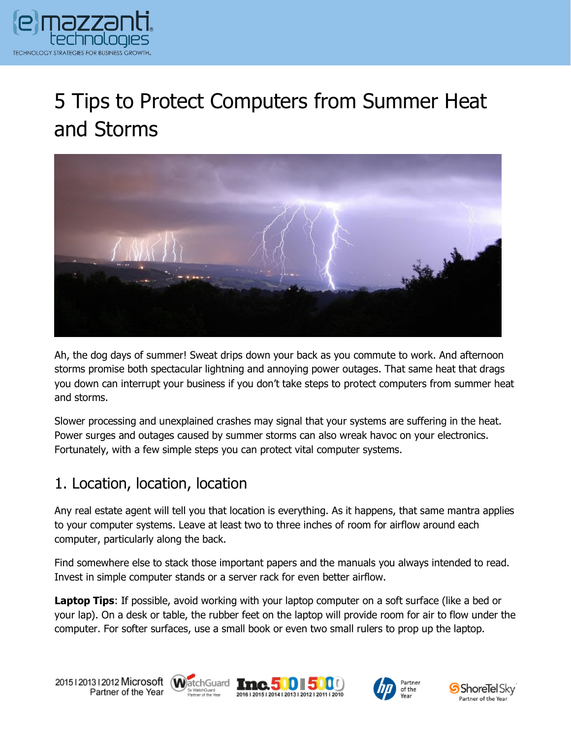

# 5 Tips to Protect Computers from Summer Heat and Storms



Ah, the dog days of summer! Sweat drips down your back as you commute to work. And afternoon storms promise both spectacular lightning and annoying power outages. That same heat that drags you down can interrupt your business if you don't take steps to protect computers from summer heat and storms.

Slower processing and unexplained crashes may signal that your systems are suffering in the heat. Power surges and outages caused by summer storms can also wreak havoc on your electronics. Fortunately, with a few simple steps you can protect vital computer systems.

### 1. Location, location, location

Any real estate agent will tell you that location is everything. As it happens, that same mantra applies to your computer systems. Leave at least two to three inches of room for airflow around each computer, particularly along the back.

Find somewhere else to stack those important papers and the manuals you always intended to read. Invest in simple computer stands or a server rack for even better airflow.

**Laptop Tips**: If possible, avoid working with your laptop computer on a soft surface (like a bed or your lap). On a desk or table, the rubber feet on the laptop will provide room for air to flow under the computer. For softer surfaces, use a small book or even two small rulers to prop up the laptop.









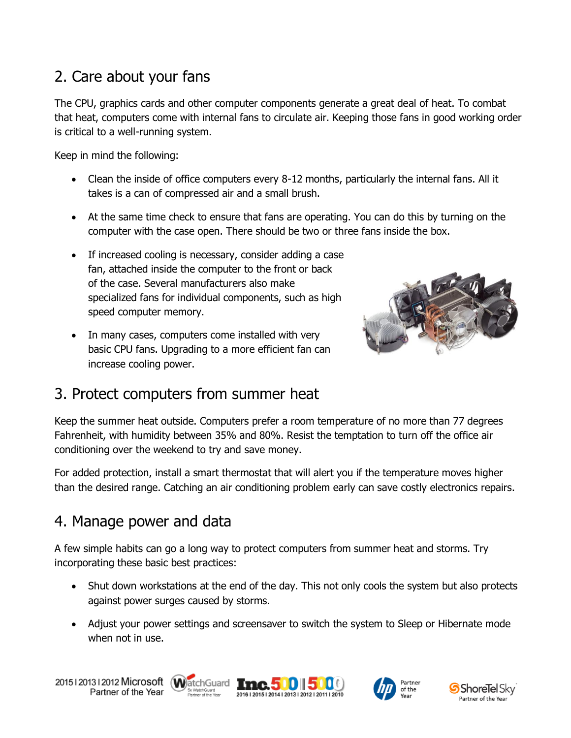## 2. Care about your fans

The CPU, graphics cards and other computer components generate a great deal of heat. To combat that heat, computers come with internal fans to circulate air. Keeping those fans in good working order is critical to a well-running system.

Keep in mind the following:

- Clean the inside of office computers every 8-12 months, particularly the internal fans. All it takes is a can of compressed air and a small brush.
- At the same time check to ensure that fans are operating. You can do this by turning on the computer with the case open. There should be two or three fans inside the box.
- If increased cooling is necessary, consider adding a case fan, attached inside the computer to the front or back of the case. Several manufacturers also make specialized fans for individual components, such as high speed computer memory.
- In many cases, computers come installed with very basic CPU fans. Upgrading to a more efficient fan can increase cooling power.

conditioning over the weekend to try and save money.



3. Protect computers from summer heat Keep the summer heat outside. Computers prefer a room temperature of no more than 77 degrees Fahrenheit, with humidity between 35% and 80%. Resist the temptation to turn off the office air

For added protection, install a smart thermostat that will alert you if the temperature moves higher than the desired range. Catching an air conditioning problem early can save costly electronics repairs.

## 4. Manage power and data

A few simple habits can go a long way to protect computers from summer heat and storms. Try incorporating these basic best practices:

- Shut down workstations at the end of the day. This not only cools the system but also protects against power surges caused by storms.
- Adjust your power settings and screensaver to switch the system to Sleep or Hibernate mode when not in use.